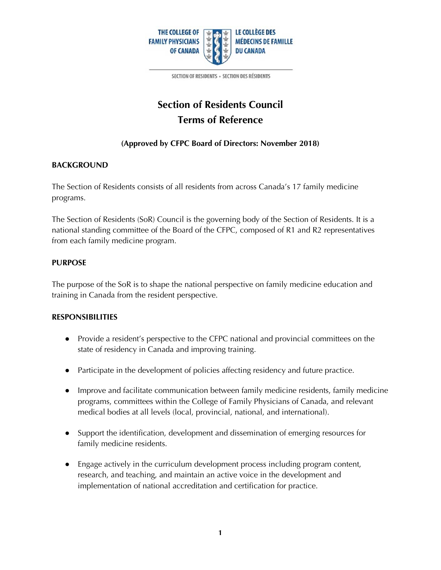

SECTION OF RESIDENTS - SECTION DES RÉSIDENTS

# **Section of Residents Council Terms of Reference**

## **(Approved by CFPC Board of Directors: November 2018)**

#### **BACKGROUND**

The Section of Residents consists of all residents from across Canada's 17 family medicine programs.

The Section of Residents (SoR) Council is the governing body of the Section of Residents. It is a national standing committee of the Board of the CFPC, composed of R1 and R2 representatives from each family medicine program.

## **PURPOSE**

The purpose of the SoR is to shape the national perspective on family medicine education and training in Canada from the resident perspective.

#### **RESPONSIBILITIES**

- Provide a resident's perspective to the CFPC national and provincial committees on the state of residency in Canada and improving training.
- Participate in the development of policies affecting residency and future practice.
- Improve and facilitate communication between family medicine residents, family medicine programs, committees within the College of Family Physicians of Canada, and relevant medical bodies at all levels (local, provincial, national, and international).
- Support the identification, development and dissemination of emerging resources for family medicine residents.
- Engage actively in the curriculum development process including program content, research, and teaching, and maintain an active voice in the development and implementation of national accreditation and certification for practice.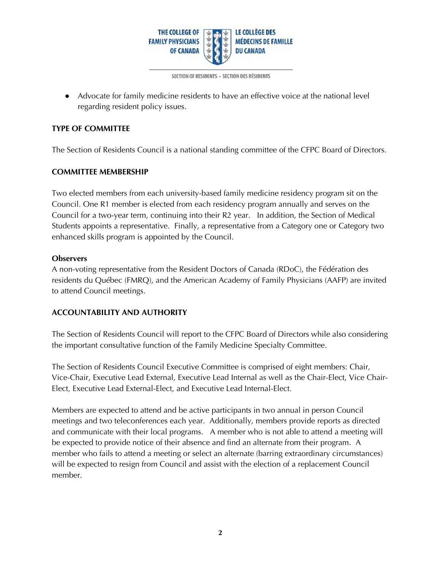

SECTION OF RESIDENTS - SECTION DES RÉSIDENTS

● Advocate for family medicine residents to have an effective voice at the national level regarding resident policy issues.

### **TYPE OF COMMITTEE**

The Section of Residents Council is a national standing committee of the CFPC Board of Directors.

#### **COMMITTEE MEMBERSHIP**

Two elected members from each university-based family medicine residency program sit on the Council. One R1 member is elected from each residency program annually and serves on the Council for a two-year term, continuing into their R2 year. In addition, the Section of Medical Students appoints a representative. Finally, a representative from a Category one or Category two enhanced skills program is appointed by the Council.

#### **Observers**

A non-voting representative from the Resident Doctors of Canada (RDoC), the Fédération des residents du Québec (FMRQ), and the American Academy of Family Physicians (AAFP) are invited to attend Council meetings.

## **ACCOUNTABILITY AND AUTHORITY**

The Section of Residents Council will report to the CFPC Board of Directors while also considering the important consultative function of the Family Medicine Specialty Committee.

The Section of Residents Council Executive Committee is comprised of eight members: Chair, Vice-Chair, Executive Lead External, Executive Lead Internal as well as the Chair-Elect, Vice Chair-Elect, Executive Lead External-Elect, and Executive Lead Internal-Elect.

Members are expected to attend and be active participants in two annual in person Council meetings and two teleconferences each year. Additionally, members provide reports as directed and communicate with their local programs. A member who is not able to attend a meeting will be expected to provide notice of their absence and find an alternate from their program. A member who fails to attend a meeting or select an alternate (barring extraordinary circumstances) will be expected to resign from Council and assist with the election of a replacement Council member.